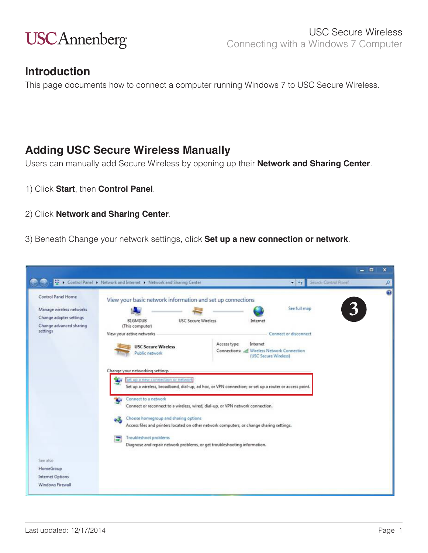### **Introduction**

This page documents how to connect a computer running Windows 7 to USC Secure Wireless.

### **Adding USC Secure Wireless Manually**

Users can manually add Secure Wireless by opening up their **Network and Sharing Center**.

- 1) Click **Start**, then **Control Panel**.
- 2) Click **Network and Sharing Center**.
- 3) Beneath Change your network settings, click **Set up a new connection or network**.

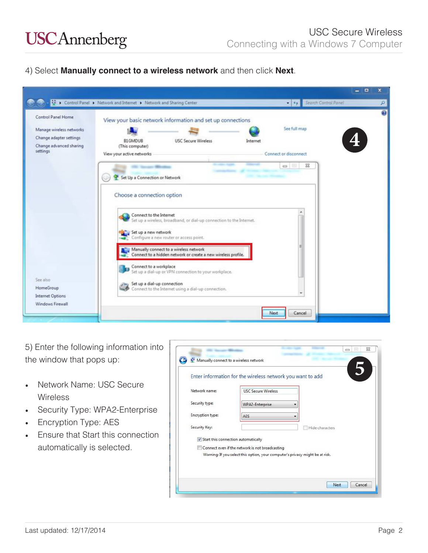#### 4) Select **Manually connect to a wireless network** and then click **Next**.

|                                                                                                                  | Control Panel > Network and Internet > Network and Sharing Center                                                                                                                                                                                                                                                           | Search Control Panel<br>$-151$                   |  |
|------------------------------------------------------------------------------------------------------------------|-----------------------------------------------------------------------------------------------------------------------------------------------------------------------------------------------------------------------------------------------------------------------------------------------------------------------------|--------------------------------------------------|--|
| Control Panel Home<br>Manage wireless networks<br>Change adapter settings<br>Change advanced sharing<br>settings | View your basic network information and set up connections<br><b>USC Secure Wireless</b><br><b>B1GMDUB</b><br>Internet<br>(This computer)                                                                                                                                                                                   | See full map<br>$\overline{4}$                   |  |
|                                                                                                                  | View your active networks<br><b>Service: Milled</b><br>Set Up a Connection or Network<br>Choose a connection option<br>Connect to the Internet<br>Set up a wireless, broadband, or dial-up connection to the Internet.<br>Set up a new network                                                                              | Connect or disconnect<br>$^{22}$<br>$\mathbf{m}$ |  |
| See also<br>HomeGroup<br><b>Internet Options</b>                                                                 | Configure a new router or access point.<br>Manually connect to a wireless network<br>Connect to a hidden network or create a new wireless profile.<br>Connect to a workplace<br>Set up a dial-up or VPN connection to your workplace.<br>Set up a dial-up connection<br>Connect to the Internet using a dial-up connection. |                                                  |  |

5) Enter the following information into the window that pops up:

- Network Name: USC Secure **Wireless**
- Security Type: WPA2-Enterprise
- Encryption Type: AES
- Ensure that Start this connection automatically is selected.

|                  | Enter information for the wireless network you want to add                    |  |
|------------------|-------------------------------------------------------------------------------|--|
| Network name:    | <b>USC Secure Wireless</b>                                                    |  |
| Security type:   | <b>WPA2-Enterprise</b>                                                        |  |
| Encryption type: | AES                                                                           |  |
| Security Key:    | Hide characters                                                               |  |
|                  | V Start this connection automatically                                         |  |
|                  | Connect even if the network is not broadcasting                               |  |
|                  | Warning: If you select this option, your computer's privacy might be at risk. |  |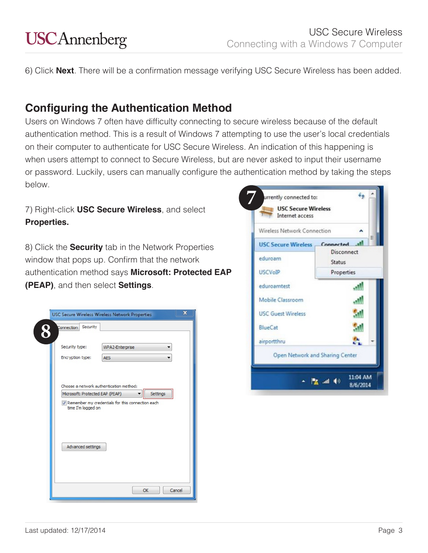6) Click **Next**. There will be a confirmation message verifying USC Secure Wireless has been added.

### **Configuring the Authentication Method**

Users on Windows 7 often have difficulty connecting to secure wireless because of the default authentication method. This is a result of Windows 7 attempting to use the user's local credentials on their computer to authenticate for USC Secure Wireless. An indication of this happening is when users attempt to connect to Secure Wireless, but are never asked to input their username or password. Luckily, users can manually configure the authentication method by taking the steps below.

### 7) Right-click **USC Secure Wireless**, and select **Properties.**

8) Click the **Security** tab in the Network Properties window that pops up. Confirm that the network authentication method says **Microsoft: Protected EAP (PEAP)**, and then select **Settings**.

| Connection       | Security           |                                                                                        |
|------------------|--------------------|----------------------------------------------------------------------------------------|
| Security type:   |                    | WPA2-Enterprise                                                                        |
| Encryption type: |                    | <b>AES</b>                                                                             |
|                  |                    | Choose a network authentication method:<br>Microsoft: Protected EAP (PEAP)<br>Settings |
|                  |                    | Remember my credentials for this connection each                                       |
|                  | time I'm logged on |                                                                                        |
|                  | Advanced settings  |                                                                                        |

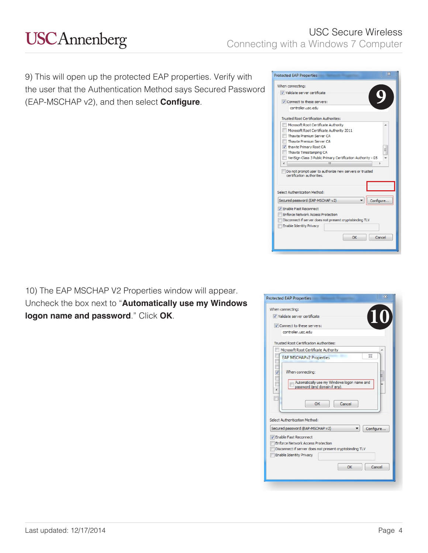9) This will open up the protected EAP properties. Verify with the user that the Authentication Method says Secured Password (EAP-MSCHAP v2), and then select **Configure**.

| $\mathbf{x}$<br><b>Protected EAP Properties</b>                                                                                                                  |
|------------------------------------------------------------------------------------------------------------------------------------------------------------------|
| When connecting:                                                                                                                                                 |
| V Validate server certificate                                                                                                                                    |
| Connect to these servers:                                                                                                                                        |
| controller.usc.edu                                                                                                                                               |
|                                                                                                                                                                  |
| <b>Trusted Root Certification Authorities:</b>                                                                                                                   |
| Microsoft Root Certificate Authority                                                                                                                             |
| Microsoft Root Certificate Authority 2011                                                                                                                        |
| Thawte Premium Server CA                                                                                                                                         |
| Thawte Premium Server CA                                                                                                                                         |
| V thawte Primary Root CA<br>Ξ                                                                                                                                    |
| Thawte Timestamping CA                                                                                                                                           |
| VeriSign Class 3 Public Primary Certification Authority - G5                                                                                                     |
| m.                                                                                                                                                               |
| Do not prompt user to authorize new servers or trusted<br>certification authorities.<br>Select Authentication Method:                                            |
| Secured password (EAP-MSCHAP v2)<br>Configure                                                                                                                    |
| V Enable Fast Reconnect<br><b>Enforce Network Access Protection</b><br>Disconnect if server does not present cryptobinding TLV<br><b>Enable Identity Privacy</b> |
| Cancel<br>OK                                                                                                                                                     |

10) The EAP MSCHAP V2 Properties window will appear. Uncheck the box next to "**Automatically use my Windows logon name and password**." Click **OK**.

| When connecting: |                                                                                                                  |
|------------------|------------------------------------------------------------------------------------------------------------------|
|                  | 10<br>Validate server certificate                                                                                |
|                  | Connect to these servers:                                                                                        |
|                  | controller.usc.edu                                                                                               |
|                  | Trusted Root Certification Authorities:                                                                          |
|                  | Microsoft Root Certificate Authority                                                                             |
|                  | 23<br><b>EAP MSCHAPv2 Properties</b>                                                                             |
|                  | When connecting:<br>Automatically use my Windows logon name and<br>password (and domain if any).<br>OK<br>Cancel |
|                  | Select Authentication Method:<br>Secured password (EAP-MSCHAP v2)<br>Configure                                   |